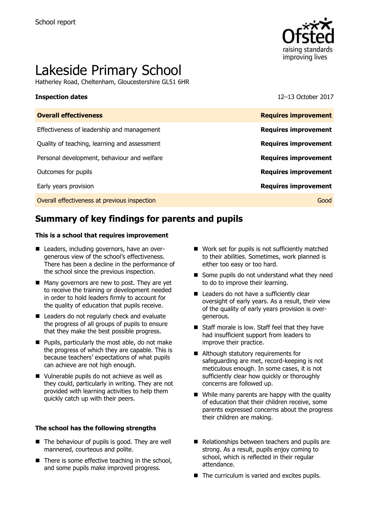

# Lakeside Primary School

Hatherley Road, Cheltenham, Gloucestershire GL51 6HR

**Inspection dates** 12–13 October 2017

| <b>Overall effectiveness</b>                 | <b>Requires improvement</b> |
|----------------------------------------------|-----------------------------|
| Effectiveness of leadership and management   | <b>Requires improvement</b> |
| Quality of teaching, learning and assessment | <b>Requires improvement</b> |
| Personal development, behaviour and welfare  | <b>Requires improvement</b> |
| Outcomes for pupils                          | <b>Requires improvement</b> |
| Early years provision                        | <b>Requires improvement</b> |
| Overall effectiveness at previous inspection | Good                        |

# **Summary of key findings for parents and pupils**

#### **This is a school that requires improvement**

- Leaders, including governors, have an overgenerous view of the school's effectiveness. There has been a decline in the performance of the school since the previous inspection.
- Many governors are new to post. They are yet to receive the training or development needed in order to hold leaders firmly to account for the quality of education that pupils receive.
- Leaders do not regularly check and evaluate the progress of all groups of pupils to ensure that they make the best possible progress.
- **Pupils, particularly the most able, do not make** the progress of which they are capable. This is because teachers' expectations of what pupils can achieve are not high enough.
- Vulnerable pupils do not achieve as well as they could, particularly in writing. They are not provided with learning activities to help them quickly catch up with their peers.

#### **The school has the following strengths**

- The behaviour of pupils is good. They are well mannered, courteous and polite.
- $\blacksquare$  There is some effective teaching in the school, and some pupils make improved progress.
- Work set for pupils is not sufficiently matched to their abilities. Sometimes, work planned is either too easy or too hard.
- Some pupils do not understand what they need to do to improve their learning.
- Leaders do not have a sufficiently clear oversight of early years. As a result, their view of the quality of early years provision is overgenerous.
- Staff morale is low. Staff feel that they have had insufficient support from leaders to improve their practice.
- Although statutory requirements for safeguarding are met, record-keeping is not meticulous enough. In some cases, it is not sufficiently clear how quickly or thoroughly concerns are followed up.
- While many parents are happy with the quality of education that their children receive, some parents expressed concerns about the progress their children are making.
- Relationships between teachers and pupils are strong. As a result, pupils enjoy coming to school, which is reflected in their regular attendance.
- The curriculum is varied and excites pupils.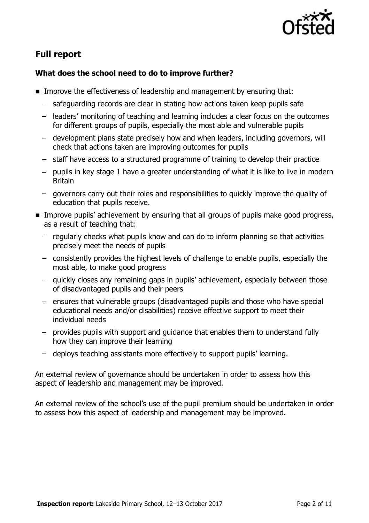

# **Full report**

### **What does the school need to do to improve further?**

- **IMPROVE the effectiveness of leadership and management by ensuring that:** 
	- safeguarding records are clear in stating how actions taken keep pupils safe
	- leaders' monitoring of teaching and learning includes a clear focus on the outcomes for different groups of pupils, especially the most able and vulnerable pupils
	- development plans state precisely how and when leaders, including governors, will check that actions taken are improving outcomes for pupils
	- $-$  staff have access to a structured programme of training to develop their practice
	- $-$  pupils in key stage 1 have a greater understanding of what it is like to live in modern Britain
	- governors carry out their roles and responsibilities to quickly improve the quality of education that pupils receive.
- **IMPROVE pupils' achievement by ensuring that all groups of pupils make good progress,** as a result of teaching that:
	- $-$  regularly checks what pupils know and can do to inform planning so that activities precisely meet the needs of pupils
	- consistently provides the highest levels of challenge to enable pupils, especially the most able, to make good progress
	- quickly closes any remaining gaps in pupils' achievement, especially between those of disadvantaged pupils and their peers
	- $-$  ensures that vulnerable groups (disadvantaged pupils and those who have special educational needs and/or disabilities) receive effective support to meet their individual needs
	- provides pupils with support and guidance that enables them to understand fully how they can improve their learning
	- deploys teaching assistants more effectively to support pupils' learning.

An external review of governance should be undertaken in order to assess how this aspect of leadership and management may be improved.

An external review of the school's use of the pupil premium should be undertaken in order to assess how this aspect of leadership and management may be improved.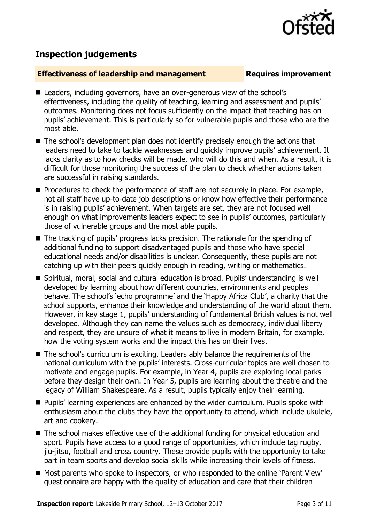

## **Inspection judgements**

### **Effectiveness of leadership and management Requires improvement**

- Leaders, including governors, have an over-generous view of the school's effectiveness, including the quality of teaching, learning and assessment and pupils' outcomes. Monitoring does not focus sufficiently on the impact that teaching has on pupils' achievement. This is particularly so for vulnerable pupils and those who are the most able.
- The school's development plan does not identify precisely enough the actions that leaders need to take to tackle weaknesses and quickly improve pupils' achievement. It lacks clarity as to how checks will be made, who will do this and when. As a result, it is difficult for those monitoring the success of the plan to check whether actions taken are successful in raising standards.
- **Procedures to check the performance of staff are not securely in place. For example,** not all staff have up-to-date job descriptions or know how effective their performance is in raising pupils' achievement. When targets are set, they are not focused well enough on what improvements leaders expect to see in pupils' outcomes, particularly those of vulnerable groups and the most able pupils.
- The tracking of pupils' progress lacks precision. The rationale for the spending of additional funding to support disadvantaged pupils and those who have special educational needs and/or disabilities is unclear. Consequently, these pupils are not catching up with their peers quickly enough in reading, writing or mathematics.
- Spiritual, moral, social and cultural education is broad. Pupils' understanding is well developed by learning about how different countries, environments and peoples behave. The school's 'echo programme' and the 'Happy Africa Club', a charity that the school supports, enhance their knowledge and understanding of the world about them. However, in key stage 1, pupils' understanding of fundamental British values is not well developed. Although they can name the values such as democracy, individual liberty and respect, they are unsure of what it means to live in modern Britain, for example, how the voting system works and the impact this has on their lives.
- The school's curriculum is exciting. Leaders ably balance the requirements of the national curriculum with the pupils' interests. Cross-curricular topics are well chosen to motivate and engage pupils. For example, in Year 4, pupils are exploring local parks before they design their own. In Year 5, pupils are learning about the theatre and the legacy of William Shakespeare. As a result, pupils typically enjoy their learning.
- **Pupils' learning experiences are enhanced by the wider curriculum. Pupils spoke with** enthusiasm about the clubs they have the opportunity to attend, which include ukulele, art and cookery.
- The school makes effective use of the additional funding for physical education and sport. Pupils have access to a good range of opportunities, which include tag rugby, jiu-jitsu, football and cross country. These provide pupils with the opportunity to take part in team sports and develop social skills while increasing their levels of fitness.
- Most parents who spoke to inspectors, or who responded to the online 'Parent View' questionnaire are happy with the quality of education and care that their children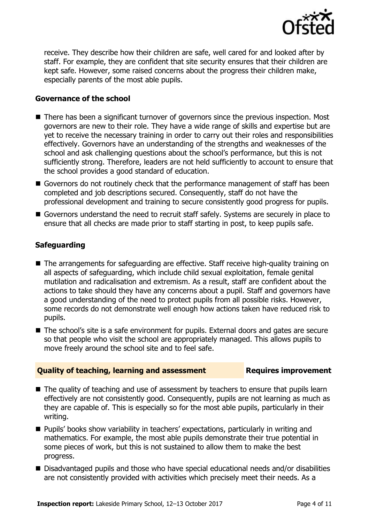

receive. They describe how their children are safe, well cared for and looked after by staff. For example, they are confident that site security ensures that their children are kept safe. However, some raised concerns about the progress their children make, especially parents of the most able pupils.

### **Governance of the school**

- There has been a significant turnover of governors since the previous inspection. Most governors are new to their role. They have a wide range of skills and expertise but are yet to receive the necessary training in order to carry out their roles and responsibilities effectively. Governors have an understanding of the strengths and weaknesses of the school and ask challenging questions about the school's performance, but this is not sufficiently strong. Therefore, leaders are not held sufficiently to account to ensure that the school provides a good standard of education.
- Governors do not routinely check that the performance management of staff has been completed and job descriptions secured. Consequently, staff do not have the professional development and training to secure consistently good progress for pupils.
- Governors understand the need to recruit staff safely. Systems are securely in place to ensure that all checks are made prior to staff starting in post, to keep pupils safe.

### **Safeguarding**

- The arrangements for safeguarding are effective. Staff receive high-quality training on all aspects of safeguarding, which include child sexual exploitation, female genital mutilation and radicalisation and extremism. As a result, staff are confident about the actions to take should they have any concerns about a pupil. Staff and governors have a good understanding of the need to protect pupils from all possible risks. However, some records do not demonstrate well enough how actions taken have reduced risk to pupils.
- The school's site is a safe environment for pupils. External doors and gates are secure so that people who visit the school are appropriately managed. This allows pupils to move freely around the school site and to feel safe.

#### **Quality of teaching, learning and assessment Requires improvement**

- The quality of teaching and use of assessment by teachers to ensure that pupils learn effectively are not consistently good. Consequently, pupils are not learning as much as they are capable of. This is especially so for the most able pupils, particularly in their writing.
- **Pupils' books show variability in teachers' expectations, particularly in writing and** mathematics. For example, the most able pupils demonstrate their true potential in some pieces of work, but this is not sustained to allow them to make the best progress.
- Disadvantaged pupils and those who have special educational needs and/or disabilities are not consistently provided with activities which precisely meet their needs. As a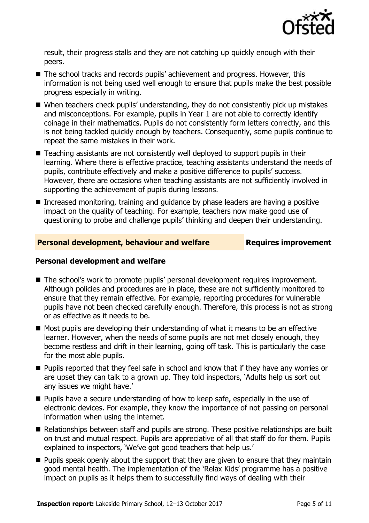

result, their progress stalls and they are not catching up quickly enough with their peers.

- The school tracks and records pupils' achievement and progress. However, this information is not being used well enough to ensure that pupils make the best possible progress especially in writing.
- When teachers check pupils' understanding, they do not consistently pick up mistakes and misconceptions. For example, pupils in Year 1 are not able to correctly identify coinage in their mathematics. Pupils do not consistently form letters correctly, and this is not being tackled quickly enough by teachers. Consequently, some pupils continue to repeat the same mistakes in their work.
- Teaching assistants are not consistently well deployed to support pupils in their learning. Where there is effective practice, teaching assistants understand the needs of pupils, contribute effectively and make a positive difference to pupils' success. However, there are occasions when teaching assistants are not sufficiently involved in supporting the achievement of pupils during lessons.
- Increased monitoring, training and guidance by phase leaders are having a positive impact on the quality of teaching. For example, teachers now make good use of questioning to probe and challenge pupils' thinking and deepen their understanding.

### **Personal development, behaviour and welfare Fig. 2.1 Requires improvement**

### **Personal development and welfare**

- The school's work to promote pupils' personal development requires improvement. Although policies and procedures are in place, these are not sufficiently monitored to ensure that they remain effective. For example, reporting procedures for vulnerable pupils have not been checked carefully enough. Therefore, this process is not as strong or as effective as it needs to be.
- $\blacksquare$  Most pupils are developing their understanding of what it means to be an effective learner. However, when the needs of some pupils are not met closely enough, they become restless and drift in their learning, going off task. This is particularly the case for the most able pupils.
- **Pupils reported that they feel safe in school and know that if they have any worries or** are upset they can talk to a grown up. They told inspectors, 'Adults help us sort out any issues we might have.'
- **Pupils have a secure understanding of how to keep safe, especially in the use of** electronic devices. For example, they know the importance of not passing on personal information when using the internet.
- Relationships between staff and pupils are strong. These positive relationships are built on trust and mutual respect. Pupils are appreciative of all that staff do for them. Pupils explained to inspectors, 'We've got good teachers that help us.'
- **Pupils speak openly about the support that they are given to ensure that they maintain** good mental health. The implementation of the 'Relax Kids' programme has a positive impact on pupils as it helps them to successfully find ways of dealing with their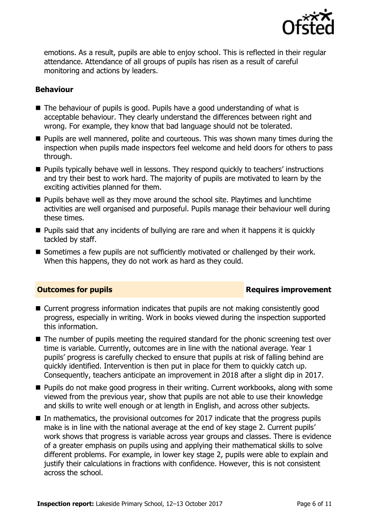

emotions. As a result, pupils are able to enjoy school. This is reflected in their regular attendance. Attendance of all groups of pupils has risen as a result of careful monitoring and actions by leaders.

#### **Behaviour**

- The behaviour of pupils is good. Pupils have a good understanding of what is acceptable behaviour. They clearly understand the differences between right and wrong. For example, they know that bad language should not be tolerated.
- **Pupils are well mannered, polite and courteous. This was shown many times during the** inspection when pupils made inspectors feel welcome and held doors for others to pass through.
- **Pupils typically behave well in lessons. They respond quickly to teachers' instructions** and try their best to work hard. The majority of pupils are motivated to learn by the exciting activities planned for them.
- **Pupils behave well as they move around the school site. Playtimes and lunchtime** activities are well organised and purposeful. Pupils manage their behaviour well during these times.
- $\blacksquare$  Pupils said that any incidents of bullying are rare and when it happens it is quickly tackled by staff.
- Sometimes a few pupils are not sufficiently motivated or challenged by their work. When this happens, they do not work as hard as they could.

### **Outcomes for pupils Requires improvement**

- Current progress information indicates that pupils are not making consistently good progress, especially in writing. Work in books viewed during the inspection supported this information.
- The number of pupils meeting the required standard for the phonic screening test over time is variable. Currently, outcomes are in line with the national average. Year 1 pupils' progress is carefully checked to ensure that pupils at risk of falling behind are quickly identified. Intervention is then put in place for them to quickly catch up. Consequently, teachers anticipate an improvement in 2018 after a slight dip in 2017.
- **Pupils do not make good progress in their writing. Current workbooks, along with some** viewed from the previous year, show that pupils are not able to use their knowledge and skills to write well enough or at length in English, and across other subjects.
- $\blacksquare$  In mathematics, the provisional outcomes for 2017 indicate that the progress pupils make is in line with the national average at the end of key stage 2. Current pupils' work shows that progress is variable across year groups and classes. There is evidence of a greater emphasis on pupils using and applying their mathematical skills to solve different problems. For example, in lower key stage 2, pupils were able to explain and justify their calculations in fractions with confidence. However, this is not consistent across the school.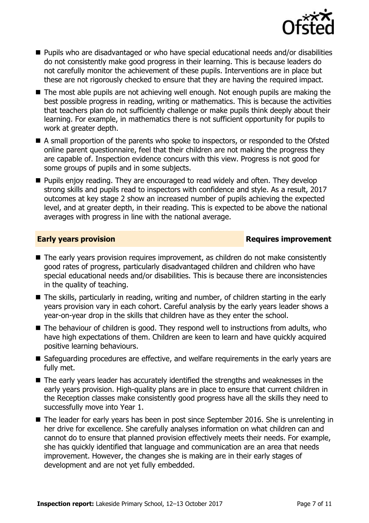

- Pupils who are disadvantaged or who have special educational needs and/or disabilities do not consistently make good progress in their learning. This is because leaders do not carefully monitor the achievement of these pupils. Interventions are in place but these are not rigorously checked to ensure that they are having the required impact.
- The most able pupils are not achieving well enough. Not enough pupils are making the best possible progress in reading, writing or mathematics. This is because the activities that teachers plan do not sufficiently challenge or make pupils think deeply about their learning. For example, in mathematics there is not sufficient opportunity for pupils to work at greater depth.
- A small proportion of the parents who spoke to inspectors, or responded to the Ofsted online parent questionnaire, feel that their children are not making the progress they are capable of. Inspection evidence concurs with this view. Progress is not good for some groups of pupils and in some subjects.
- **Pupils enjoy reading. They are encouraged to read widely and often. They develop** strong skills and pupils read to inspectors with confidence and style. As a result, 2017 outcomes at key stage 2 show an increased number of pupils achieving the expected level, and at greater depth, in their reading. This is expected to be above the national averages with progress in line with the national average.

### **Early years provision Requires improvement**

- The early years provision requires improvement, as children do not make consistently good rates of progress, particularly disadvantaged children and children who have special educational needs and/or disabilities. This is because there are inconsistencies in the quality of teaching.
- The skills, particularly in reading, writing and number, of children starting in the early years provision vary in each cohort. Careful analysis by the early years leader shows a year-on-year drop in the skills that children have as they enter the school.
- The behaviour of children is good. They respond well to instructions from adults, who have high expectations of them. Children are keen to learn and have quickly acquired positive learning behaviours.
- Safeguarding procedures are effective, and welfare requirements in the early years are fully met.
- The early years leader has accurately identified the strengths and weaknesses in the early years provision. High-quality plans are in place to ensure that current children in the Reception classes make consistently good progress have all the skills they need to successfully move into Year 1.
- The leader for early years has been in post since September 2016. She is unrelenting in her drive for excellence. She carefully analyses information on what children can and cannot do to ensure that planned provision effectively meets their needs. For example, she has quickly identified that language and communication are an area that needs improvement. However, the changes she is making are in their early stages of development and are not yet fully embedded.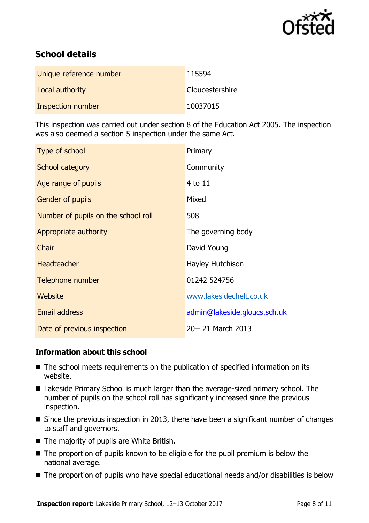

# **School details**

| Unique reference number | 115594          |
|-------------------------|-----------------|
| Local authority         | Gloucestershire |
| Inspection number       | 10037015        |

This inspection was carried out under section 8 of the Education Act 2005. The inspection was also deemed a section 5 inspection under the same Act.

| Type of school                      | Primary                      |
|-------------------------------------|------------------------------|
| School category                     | Community                    |
| Age range of pupils                 | $4$ to $11$                  |
| <b>Gender of pupils</b>             | Mixed                        |
| Number of pupils on the school roll | 508                          |
| Appropriate authority               | The governing body           |
| Chair                               | David Young                  |
| <b>Headteacher</b>                  | Hayley Hutchison             |
| Telephone number                    | 01242 524756                 |
| Website                             | www.lakesidechelt.co.uk      |
| <b>Email address</b>                | admin@lakeside.gloucs.sch.uk |
| Date of previous inspection         | 20-21 March 2013             |

#### **Information about this school**

- The school meets requirements on the publication of specified information on its website.
- Lakeside Primary School is much larger than the average-sized primary school. The number of pupils on the school roll has significantly increased since the previous inspection.
- $\blacksquare$  Since the previous inspection in 2013, there have been a significant number of changes to staff and governors.
- The majority of pupils are White British.
- $\blacksquare$  The proportion of pupils known to be eligible for the pupil premium is below the national average.
- The proportion of pupils who have special educational needs and/or disabilities is below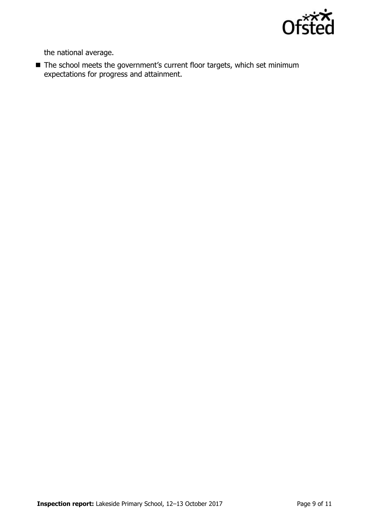

the national average.

■ The school meets the government's current floor targets, which set minimum expectations for progress and attainment.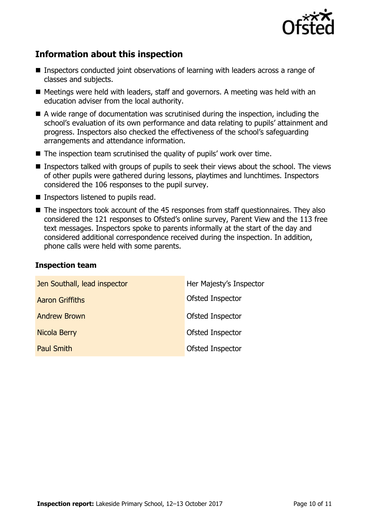

# **Information about this inspection**

- Inspectors conducted joint observations of learning with leaders across a range of classes and subjects.
- Meetings were held with leaders, staff and governors. A meeting was held with an education adviser from the local authority.
- A wide range of documentation was scrutinised during the inspection, including the school's evaluation of its own performance and data relating to pupils' attainment and progress. Inspectors also checked the effectiveness of the school's safeguarding arrangements and attendance information.
- $\blacksquare$  The inspection team scrutinised the quality of pupils' work over time.
- Inspectors talked with groups of pupils to seek their views about the school. The views of other pupils were gathered during lessons, playtimes and lunchtimes. Inspectors considered the 106 responses to the pupil survey.
- $\blacksquare$  Inspectors listened to pupils read.
- The inspectors took account of the 45 responses from staff questionnaires. They also considered the 121 responses to Ofsted's online survey, Parent View and the 113 free text messages. Inspectors spoke to parents informally at the start of the day and considered additional correspondence received during the inspection. In addition, phone calls were held with some parents.

#### **Inspection team**

| Jen Southall, lead inspector | Her Majesty's Inspector |
|------------------------------|-------------------------|
| <b>Aaron Griffiths</b>       | Ofsted Inspector        |
| <b>Andrew Brown</b>          | Ofsted Inspector        |
| Nicola Berry                 | Ofsted Inspector        |
| <b>Paul Smith</b>            | Ofsted Inspector        |